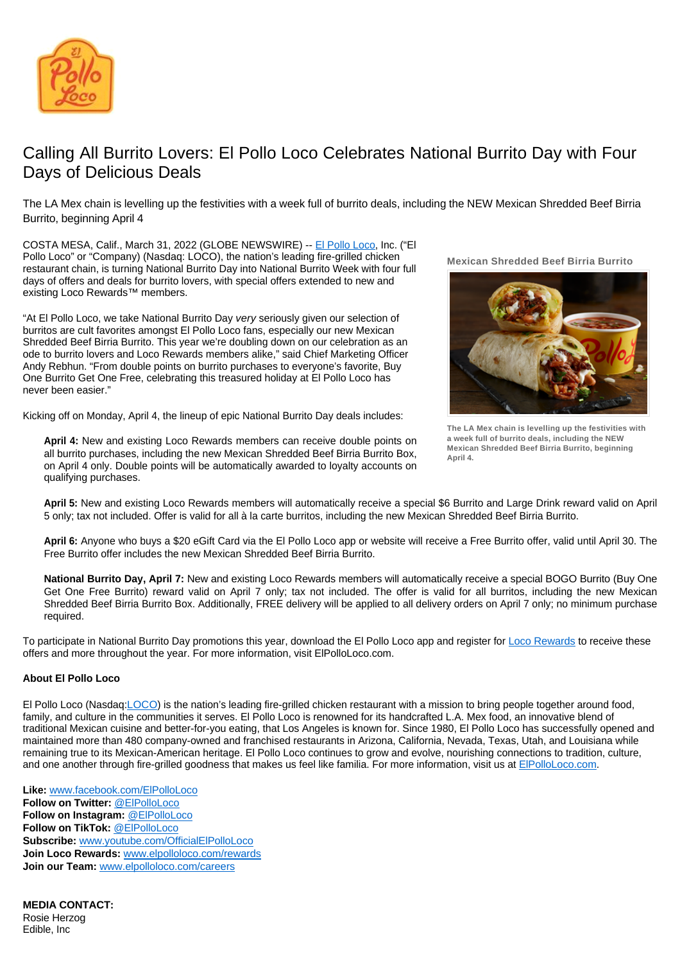

## Calling All Burrito Lovers: El Pollo Loco Celebrates National Burrito Day with Four Days of Delicious Deals

The LA Mex chain is levelling up the festivities with a week full of burrito deals, including the NEW Mexican Shredded Beef Birria Burrito, beginning April 4

COSTA MESA, Calif., March 31, 2022 (GLOBE NEWSWIRE) -- [El Pollo Loco](https://www.elpolloloco.com/), Inc. ("El Pollo Loco" or "Company) (Nasdaq: LOCO), the nation's leading fire-grilled chicken restaurant chain, is turning National Burrito Day into National Burrito Week with four full days of offers and deals for burrito lovers, with special offers extended to new and existing Loco Rewards™ members.

"At El Pollo Loco, we take National Burrito Day very seriously given our selection of burritos are cult favorites amongst El Pollo Loco fans, especially our new Mexican Shredded Beef Birria Burrito. This year we're doubling down on our celebration as an ode to burrito lovers and Loco Rewards members alike," said Chief Marketing Officer Andy Rebhun. "From double points on burrito purchases to everyone's favorite, Buy One Burrito Get One Free, celebrating this treasured holiday at El Pollo Loco has never been easier."

Kicking off on Monday, April 4, the lineup of epic National Burrito Day deals includes:

**Mexican Shredded Beef Birria Burrito**

**The LA Mex chain is levelling up the festivities with a week full of burrito deals, including the NEW Mexican Shredded Beef Birria Burrito, beginning April 4.**

**April 4:** New and existing Loco Rewards members can receive double points on all burrito purchases, including the new Mexican Shredded Beef Birria Burrito Box, on April 4 only. Double points will be automatically awarded to loyalty accounts on qualifying purchases.

**April 5:** New and existing Loco Rewards members will automatically receive a special \$6 Burrito and Large Drink reward valid on April 5 only; tax not included. Offer is valid for all à la carte burritos, including the new Mexican Shredded Beef Birria Burrito.

**April 6:** Anyone who buys a \$20 eGift Card via the El Pollo Loco app or website will receive a Free Burrito offer, valid until April 30. The Free Burrito offer includes the new Mexican Shredded Beef Birria Burrito.

**National Burrito Day, April 7:** New and existing Loco Rewards members will automatically receive a special BOGO Burrito (Buy One Get One Free Burrito) reward valid on April 7 only; tax not included. The offer is valid for all burritos, including the new Mexican Shredded Beef Birria Burrito Box. Additionally, FREE delivery will be applied to all delivery orders on April 7 only; no minimum purchase required.

To participate in National Burrito Day promotions this year, download the El Pollo Loco app and register for [Loco Rewards](https://www.elpolloloco.com/rewards/) to receive these offers and more throughout the year. For more information, visit ElPolloLoco.com.

## **About El Pollo Loco**

El Pollo Loco (Nasdaq[:LOCO\)](https://www.globenewswire.com/Search?runSearchId=46996667) is the nation's leading fire-grilled chicken restaurant with a mission to bring people together around food, family, and culture in the communities it serves. El Pollo Loco is renowned for its handcrafted L.A. Mex food, an innovative blend of traditional Mexican cuisine and better-for-you eating, that Los Angeles is known for. Since 1980, El Pollo Loco has successfully opened and maintained more than 480 company-owned and franchised restaurants in Arizona, California, Nevada, Texas, Utah, and Louisiana while remaining true to its Mexican-American heritage. El Pollo Loco continues to grow and evolve, nourishing connections to tradition, culture, and one another through fire-grilled goodness that makes us feel like familia. For more information, visit us at [ElPolloLoco.com.](http://www.elpolloloco.com/)

**Like:** [www.facebook.com/ElPolloLoco](http://www.facebook.com/ElPolloLoco) **Follow on Twitter:** [@ElPolloLoco](https://twitter.com/elpolloloco) **Follow on Instagram:** [@ElPolloLoco](https://www.instagram.com/elpolloloco/) **Follow on TikTok:** [@ElPolloLoco](https://www.tiktok.com/@elpolloloco?source=h5_m) **Subscribe:** [www.youtube.com/OfficialElPolloLoco](http://www.youtube.com/OfficialElPolloLoco) **Join Loco Rewards:** [www.elpolloloco.com/rewards](http://www.elpolloloco.com/rewards) **Join our Team:** [www.elpolloloco.com/careers](http://www.elpolloloco.com/careers)

**MEDIA CONTACT:** Rosie Herzog Edible, Inc